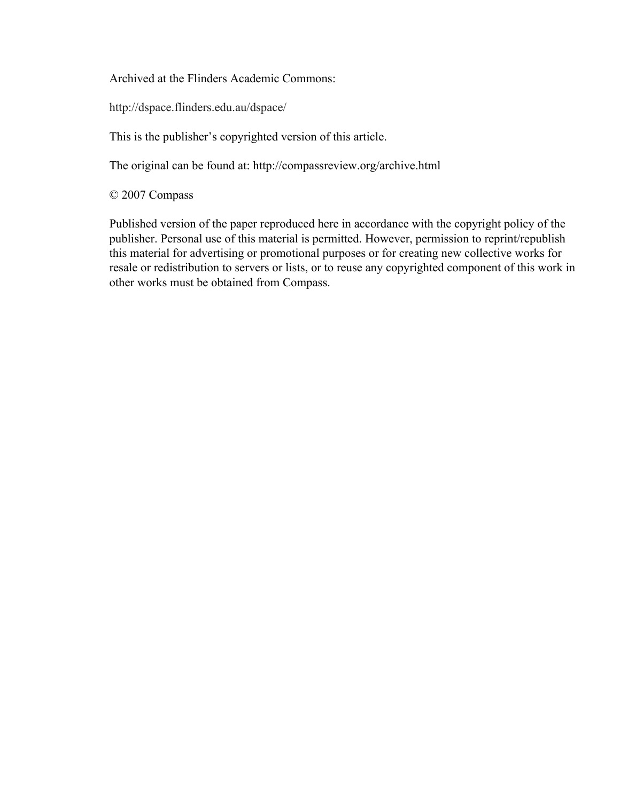Archived at the Flinders Academic Commons:

http://dspace.flinders.edu.au/dspace/

This is the publisher's copyrighted version of this article.

The original can be found at: http://compassreview.org/archive.html

© 2007 Compass

Published version of the paper reproduced here in accordance with the copyright policy of the publisher. Personal use of this material is permitted. However, permission to reprint/republish this material for advertising or promotional purposes or for creating new collective works for resale or redistribution to servers or lists, or to reuse any copyrighted component of this work in other works must be obtained from Compass.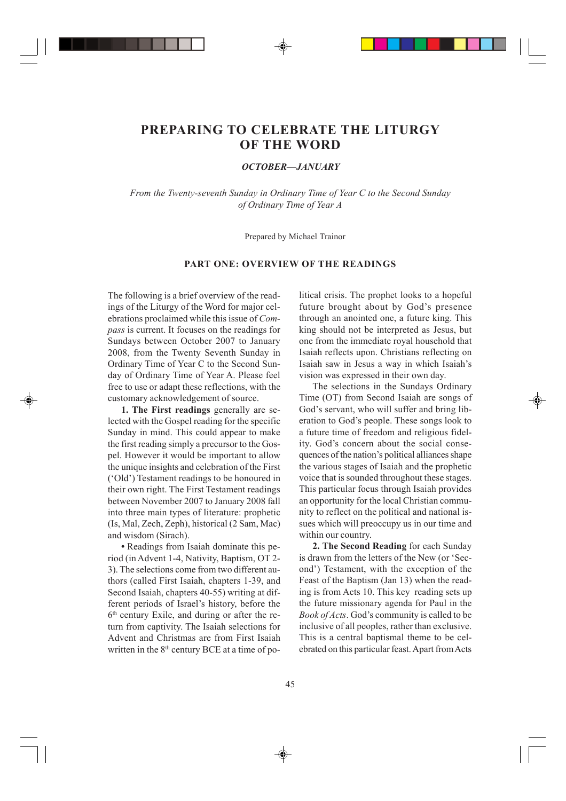# **PREPARING TO CELEBRATE THE LITURGY OF THE WORD**

## *OCTOBER—JANUARY*

*From the Twenty-seventh Sunday in Ordinary Time of Year C to the Second Sunday of Ordinary Time of Year A*

Prepared by Michael Trainor

# **PART ONE: OVERVIEW OF THE READINGS**

The following is a brief overview of the readings of the Liturgy of the Word for major celebrations proclaimed while this issue of *Compass* is current. It focuses on the readings for Sundays between October 2007 to January 2008, from the Twenty Seventh Sunday in Ordinary Time of Year C to the Second Sunday of Ordinary Time of Year A. Please feel free to use or adapt these reflections, with the customary acknowledgement of source.

**1. The First readings** generally are selected with the Gospel reading for the specific Sunday in mind. This could appear to make the first reading simply a precursor to the Gospel. However it would be important to allow the unique insights and celebration of the First ('Old') Testament readings to be honoured in their own right. The First Testament readings between November 2007 to January 2008 fall into three main types of literature: prophetic (Is, Mal, Zech, Zeph), historical (2 Sam, Mac) and wisdom (Sirach).

**•** Readings from Isaiah dominate this period (in Advent 1-4, Nativity, Baptism, OT 2- 3). The selections come from two different authors (called First Isaiah, chapters 1-39, and Second Isaiah, chapters 40-55) writing at different periods of Israel's history, before the  $6<sup>th</sup>$  century Exile, and during or after the return from captivity. The Isaiah selections for Advent and Christmas are from First Isaiah written in the  $8<sup>th</sup>$  century BCE at a time of political crisis. The prophet looks to a hopeful future brought about by God's presence through an anointed one, a future king. This king should not be interpreted as Jesus, but one from the immediate royal household that Isaiah reflects upon. Christians reflecting on Isaiah saw in Jesus a way in which Isaiah's vision was expressed in their own day.

The selections in the Sundays Ordinary Time (OT) from Second Isaiah are songs of God's servant, who will suffer and bring liberation to God's people. These songs look to a future time of freedom and religious fidelity. God's concern about the social consequences of the nation's political alliances shape the various stages of Isaiah and the prophetic voice that is sounded throughout these stages. This particular focus through Isaiah provides an opportunity for the local Christian community to reflect on the political and national issues which will preoccupy us in our time and within our country.

**2. The Second Reading** for each Sunday is drawn from the letters of the New (or 'Second') Testament, with the exception of the Feast of the Baptism (Jan 13) when the reading is from Acts 10. This key reading sets up the future missionary agenda for Paul in the *Book of Acts*. God's community is called to be inclusive of all peoples, rather than exclusive. This is a central baptismal theme to be celebrated on this particular feast. Apart from Acts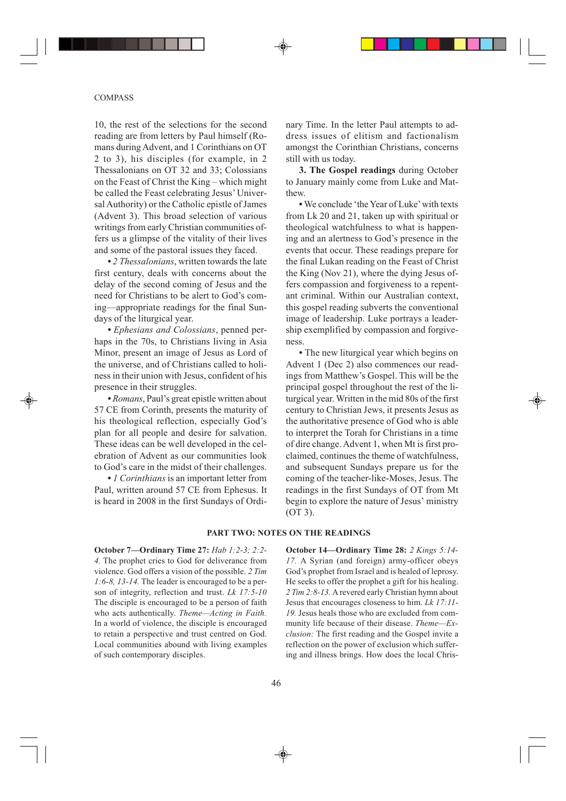### COMPASS

10, the rest of the selections for the second reading are from letters by Paul himself (Romans during Advent, and 1 Corinthians on OT 2 to 3), his disciples (for example, in 2 Thessalonians on OT 32 and 33; Colossians on the Feast of Christ the King – which might be called the Feast celebrating Jesus' Universal Authority) or the Catholic epistle of James (Advent 3). This broad selection of various writings from early Christian communities offers us a glimpse of the vitality of their lives and some of the pastoral issues they faced.

**•** *2 Thessalonians*, written towards the late first century, deals with concerns about the delay of the second coming of Jesus and the need for Christians to be alert to God's coming—appropriate readings for the final Sundays of the liturgical year.

**•** *Ephesians and Colossians*, penned perhaps in the 70s, to Christians living in Asia Minor, present an image of Jesus as Lord of the universe, and of Christians called to holiness in their union with Jesus, confident of his presence in their struggles.

**•** *Romans*, Paul's great epistle written about 57 CE from Corinth, presents the maturity of his theological reflection, especially God's plan for all people and desire for salvation. These ideas can be well developed in the celebration of Advent as our communities look to God's care in the midst of their challenges.

**•** *1 Corinthians* is an important letter from Paul, written around 57 CE from Ephesus. It is heard in 2008 in the first Sundays of Ordinary Time. In the letter Paul attempts to address issues of elitism and factionalism amongst the Corinthian Christians, concerns still with us today.

**3. The Gospel readings** during October to January mainly come from Luke and Matthew.

**•** We conclude 'the Year of Luke' with texts from Lk 20 and 21, taken up with spiritual or theological watchfulness to what is happening and an alertness to God's presence in the events that occur. These readings prepare for the final Lukan reading on the Feast of Christ the King (Nov 21), where the dying Jesus offers compassion and forgiveness to a repentant criminal. Within our Australian context, this gospel reading subverts the conventional image of leadership. Luke portrays a leadership exemplified by compassion and forgiveness.

**•** The new liturgical year which begins on Advent 1 (Dec 2) also commences our readings from Matthew's Gospel. This will be the principal gospel throughout the rest of the liturgical year. Written in the mid 80s of the first century to Christian Jews, it presents Jesus as the authoritative presence of God who is able to interpret the Torah for Christians in a time of dire change. Advent 1, when Mt is first proclaimed, continues the theme of watchfulness, and subsequent Sundays prepare us for the coming of the teacher-like-Moses, Jesus. The readings in the first Sundays of OT from Mt begin to explore the nature of Jesus' ministry (OT 3).

## **PART TWO: NOTES ON THE READINGS**

**October 7—Ordinary Time 27:** *Hab 1:2-3; 2:2- 4.* The prophet cries to God for deliverance from violence. God offers a vision of the possible. *2 Tim 1:6-8, 13-14.* The leader is encouraged to be a person of integrity, reflection and trust. *Lk 17:5-10* The disciple is encouraged to be a person of faith who acts authentically. *Theme—Acting in Faith.* In a world of violence, the disciple is encouraged to retain a perspective and trust centred on God. Local communities abound with living examples of such contemporary disciples.

**October 14—Ordinary Time 28:** *2 Kings 5:14- 17.* A Syrian (and foreign) army-officer obeys God's prophet from Israel and is healed of leprosy. He seeks to offer the prophet a gift for his healing. *2 Tim 2:8-13.* A revered early Christian hymn about Jesus that encourages closeness to him. *Lk 17:11- 19.* Jesus heals those who are excluded from community life because of their disease. *Theme—Exclusion:* The first reading and the Gospel invite a reflection on the power of exclusion which suffering and illness brings. How does the local Chris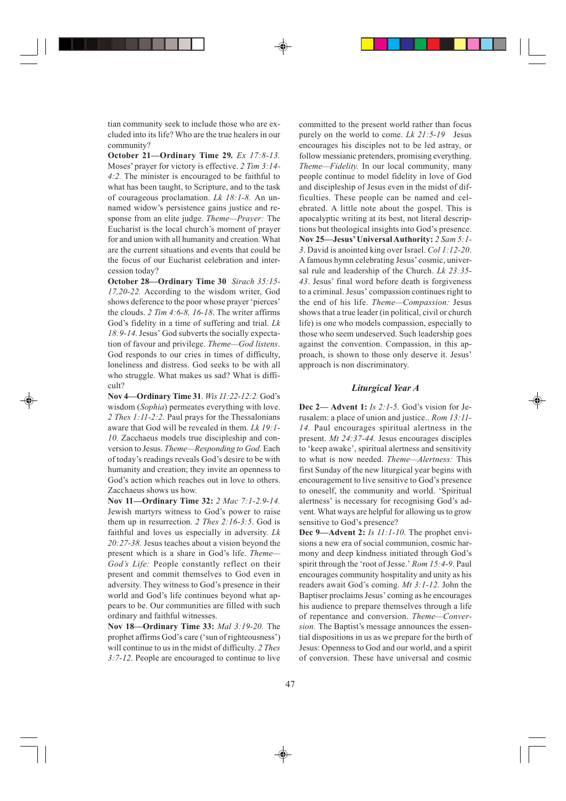tian community seek to include those who are excluded into its life? Who are the true healers in our community?

**October 21—Ordinary Time 29***. Ex 17:8-13.* Moses' prayer for victory is effective. *2 Tim 3:14- 4:2.* The minister is encouraged to be faithful to what has been taught, to Scripture, and to the task of courageous proclamation. *Lk 18:1-8.* An unnamed widow's persistence gains justice and response from an elite judge. *Theme—Prayer:* The Eucharist is the local church's moment of prayer for and union with all humanity and creation. What are the current situations and events that could be the focus of our Eucharist celebration and intercession today?

**October 28—Ordinary Time 30** *Sirach 35:15- 17,20-22.* According to the wisdom writer, God shows deference to the poor whose prayer 'pierces' the clouds. *2 Tim 4:6-8, 16-18*. The writer affirms God's fidelity in a time of suffering and trial. *Lk 18:9-14*. Jesus' God subverts the socially expectation of favour and privilege. *Theme—God listens*. God responds to our cries in times of difficulty, loneliness and distress. God seeks to be with all who struggle. What makes us sad? What is difficult?

**Nov 4—Ordinary Time 31**. *Wis 11:22-12:2.* God's wisdom (*Sophia*) permeates everything with love. *2 Thes 1:11-2:2.* Paul prays for the Thessalonians aware that God will be revealed in them. *Lk 19:1- 10.* Zacchaeus models true discipleship and conversion to Jesus. *Theme—Responding to God.* Each of today's readings reveals God's desire to be with humanity and creation; they invite an openness to God's action which reaches out in love to others. Zacchaeus shows us how.

**Nov 11—Ordinary Time 32:** *2 Mac 7:1-2.9-14.* Jewish martyrs witness to God's power to raise them up in resurrection. *2 Thes 2:16-3:5*. God is faithful and loves us especially in adversity. *Lk 20:27-38.* Jesus teaches about a vision beyond the present which is a share in God's life. *Theme— God's Life:* People constantly reflect on their present and commit themselves to God even in adversity. They witness to God's presence in their world and God's life continues beyond what appears to be. Our communities are filled with such ordinary and faithful witnesses.

**Nov 18—Ordinary Time 33:** *Mal 3:19-20.* The prophet affirms God's care ('sun of righteousness') will continue to us in the midst of difficulty. *2 Thes 3:7-12.* People are encouraged to continue to live committed to the present world rather than focus purely on the world to come. *Lk 21:5-19* Jesus encourages his disciples not to be led astray, or follow messianic pretenders, promising everything. *Theme—Fidelity.* In our local community, many people continue to model fidelity in love of God and discipleship of Jesus even in the midst of difficulties. These people can be named and celebrated. A little note about the gospel. This is apocalyptic writing at its best, not literal descriptions but theological insights into God's presence. **Nov 25—Jesus' Universal Authority:** *2 Sam 5:1- 3*. David is anointed king over Israel. *Col 1:12-20*. A famous hymn celebrating Jesus' cosmic, universal rule and leadership of the Church. *Lk 23:35- 43*. Jesus' final word before death is forgiveness to a criminal. Jesus' compassion continues right to the end of his life. *Theme—Compassion:* Jesus shows that a true leader (in political, civil or church life) is one who models compassion, especially to those who seem undeserved. Such leadership goes against the convention. Compassion, in this approach, is shown to those only deserve it. Jesus' approach is non discriminatory.

#### *Liturgical Year A*

**Dec 2— Advent 1:** *Is 2:1-5.* God's vision for Jerusalem: a place of union and justice.. *Rom 13:11- 14.* Paul encourages spiritual alertness in the present. *Mt 24:37-44.* Jesus encourages disciples to 'keep awake', spiritual alertness and sensitivity to what is now needed. *Theme—Alertness:* This first Sunday of the new liturgical year begins with encouragement to live sensitive to God's presence to oneself, the community and world. 'Spiritual alertness' is necessary for recognising God's advent. What ways are helpful for allowing us to grow sensitive to God's presence?

**Dec 9—Advent 2:** *Is 11:1-10*. The prophet envisions a new era of social communion, cosmic harmony and deep kindness initiated through God's spirit through the 'root of Jesse.' *Rom 15:4-9*. Paul encourages community hospitality and unity as his readers await God's coming. *Mt 3:1-12*. John the Baptiser proclaims Jesus' coming as he encourages his audience to prepare themselves through a life of repentance and conversion. *Theme—Conversion.* The Baptist's message announces the essential dispositions in us as we prepare for the birth of Jesus: Openness to God and our world, and a spirit of conversion. These have universal and cosmic